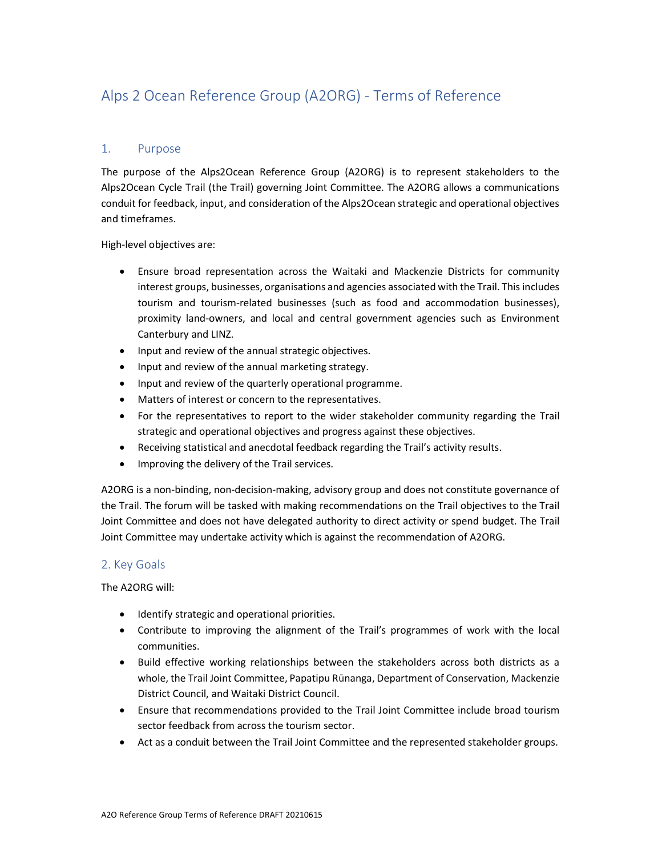# Alps 2 Ocean Reference Group (A2ORG) - Terms of Reference

# 1. Purpose

The purpose of the Alps2Ocean Reference Group (A2ORG) is to represent stakeholders to the Alps2Ocean Cycle Trail (the Trail) governing Joint Committee. The A2ORG allows a communications conduit for feedback, input, and consideration of the Alps2Ocean strategic and operational objectives and timeframes.

High-level objectives are:

- Ensure broad representation across the Waitaki and Mackenzie Districts for community interest groups, businesses, organisations and agencies associated with the Trail. This includes tourism and tourism-related businesses (such as food and accommodation businesses), proximity land-owners, and local and central government agencies such as Environment Canterbury and LINZ.
- Input and review of the annual strategic objectives.
- Input and review of the annual marketing strategy.
- Input and review of the quarterly operational programme.
- Matters of interest or concern to the representatives.
- For the representatives to report to the wider stakeholder community regarding the Trail strategic and operational objectives and progress against these objectives.
- Receiving statistical and anecdotal feedback regarding the Trail's activity results.
- Improving the delivery of the Trail services.

A2ORG is a non-binding, non-decision-making, advisory group and does not constitute governance of the Trail. The forum will be tasked with making recommendations on the Trail objectives to the Trail Joint Committee and does not have delegated authority to direct activity or spend budget. The Trail Joint Committee may undertake activity which is against the recommendation of A2ORG.

# 2. Key Goals

The A2ORG will:

- **•** Identify strategic and operational priorities.
- Contribute to improving the alignment of the Trail's programmes of work with the local communities.
- Build effective working relationships between the stakeholders across both districts as a whole, the Trail Joint Committee, Papatipu Rūnanga, Department of Conservation, Mackenzie District Council, and Waitaki District Council.
- Ensure that recommendations provided to the Trail Joint Committee include broad tourism sector feedback from across the tourism sector.
- Act as a conduit between the Trail Joint Committee and the represented stakeholder groups.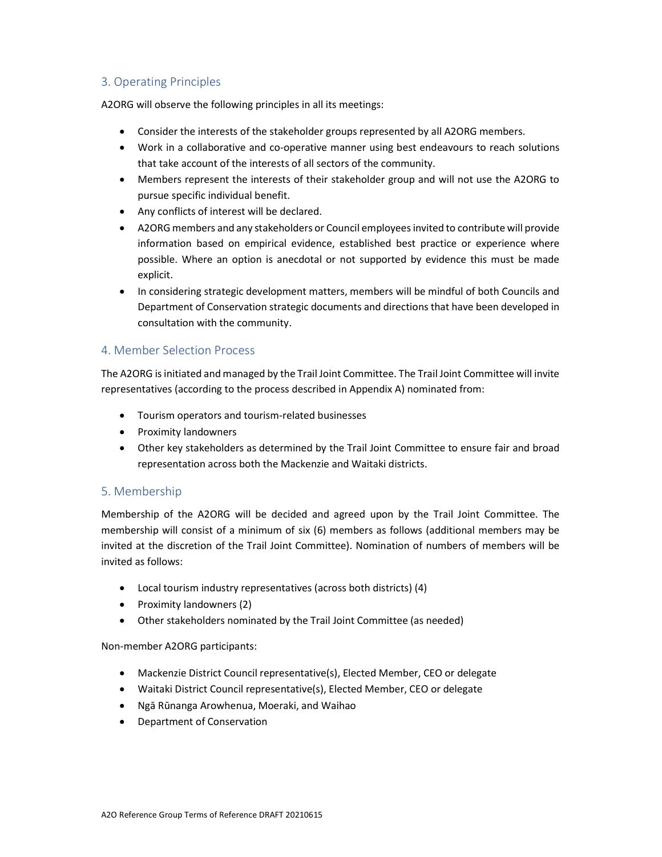# 3. Operating Principles

A2ORG will observe the following principles in all its meetings:

- Consider the interests of the stakeholder groups represented by all A2ORG members.
- Work in a collaborative and co-operative manner using best endeavours to reach solutions that take account of the interests of all sectors of the community.
- Members represent the interests of their stakeholder group and will not use the A2ORG to pursue specific individual benefit.
- Any conflicts of interest will be declared.
- A2ORG members and any stakeholders or Council employees invited to contribute will provide information based on empirical evidence, established best practice or experience where possible. Where an option is anecdotal or not supported by evidence this must be made explicit.
- In considering strategic development matters, members will be mindful of both Councils and Department of Conservation strategic documents and directions that have been developed in consultation with the community.

# 4. Member Selection Process

The A2ORG is initiated and managed by the Trail Joint Committee. The Trail Joint Committee will invite representatives (according to the process described in Appendix A) nominated from:

- Tourism operators and tourism-related businesses
- Proximity landowners
- Other key stakeholders as determined by the Trail Joint Committee to ensure fair and broad representation across both the Mackenzie and Waitaki districts.

# 5. Membership

Membership of the A2ORG will be decided and agreed upon by the Trail Joint Committee. The membership will consist of a minimum of six (6) members as follows (additional members may be invited at the discretion of the Trail Joint Committee). Nomination of numbers of members will be invited as follows:

- Local tourism industry representatives (across both districts) (4)
- Proximity landowners (2)
- Other stakeholders nominated by the Trail Joint Committee (as needed)

Non-member A2ORG participants:

- Mackenzie District Council representative(s), Elected Member, CEO or delegate
- Waitaki District Council representative(s), Elected Member, CEO or delegate
- Ngā Rūnanga Arowhenua, Moeraki, and Waihao
- Department of Conservation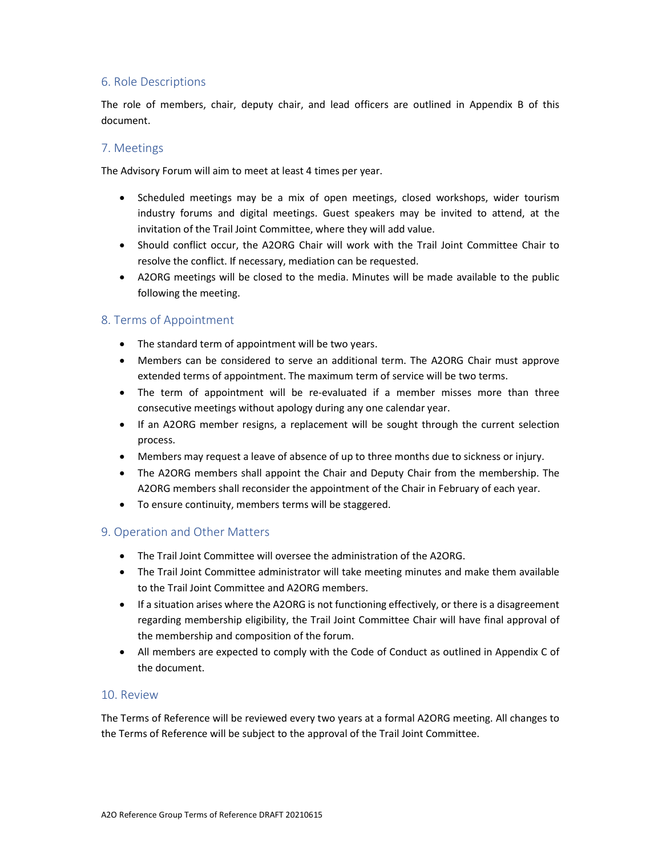# 6. Role Descriptions

The role of members, chair, deputy chair, and lead officers are outlined in Appendix B of this document.

# 7. Meetings

The Advisory Forum will aim to meet at least 4 times per year.

- Scheduled meetings may be a mix of open meetings, closed workshops, wider tourism industry forums and digital meetings. Guest speakers may be invited to attend, at the invitation of the Trail Joint Committee, where they will add value.
- Should conflict occur, the A2ORG Chair will work with the Trail Joint Committee Chair to resolve the conflict. If necessary, mediation can be requested.
- A2ORG meetings will be closed to the media. Minutes will be made available to the public following the meeting.

# 8. Terms of Appointment

- The standard term of appointment will be two years.
- Members can be considered to serve an additional term. The A2ORG Chair must approve extended terms of appointment. The maximum term of service will be two terms.
- The term of appointment will be re-evaluated if a member misses more than three consecutive meetings without apology during any one calendar year.
- If an A2ORG member resigns, a replacement will be sought through the current selection process.
- Members may request a leave of absence of up to three months due to sickness or injury.
- The A2ORG members shall appoint the Chair and Deputy Chair from the membership. The A2ORG members shall reconsider the appointment of the Chair in February of each year.
- To ensure continuity, members terms will be staggered.

### 9. Operation and Other Matters

- The Trail Joint Committee will oversee the administration of the A2ORG.
- The Trail Joint Committee administrator will take meeting minutes and make them available to the Trail Joint Committee and A2ORG members.
- If a situation arises where the A2ORG is not functioning effectively, or there is a disagreement regarding membership eligibility, the Trail Joint Committee Chair will have final approval of the membership and composition of the forum.
- All members are expected to comply with the Code of Conduct as outlined in Appendix C of the document.

### 10. Review

The Terms of Reference will be reviewed every two years at a formal A2ORG meeting. All changes to the Terms of Reference will be subject to the approval of the Trail Joint Committee.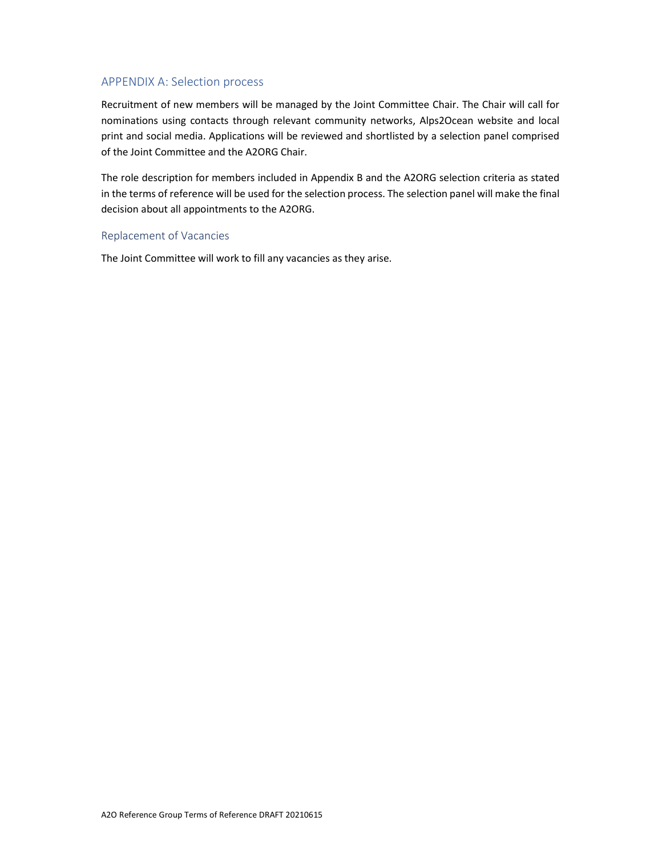# APPENDIX A: Selection process

Recruitment of new members will be managed by the Joint Committee Chair. The Chair will call for nominations using contacts through relevant community networks, Alps2Ocean website and local print and social media. Applications will be reviewed and shortlisted by a selection panel comprised of the Joint Committee and the A2ORG Chair.

The role description for members included in Appendix B and the A2ORG selection criteria as stated in the terms of reference will be used for the selection process. The selection panel will make the final decision about all appointments to the A2ORG.

#### Replacement of Vacancies

The Joint Committee will work to fill any vacancies as they arise.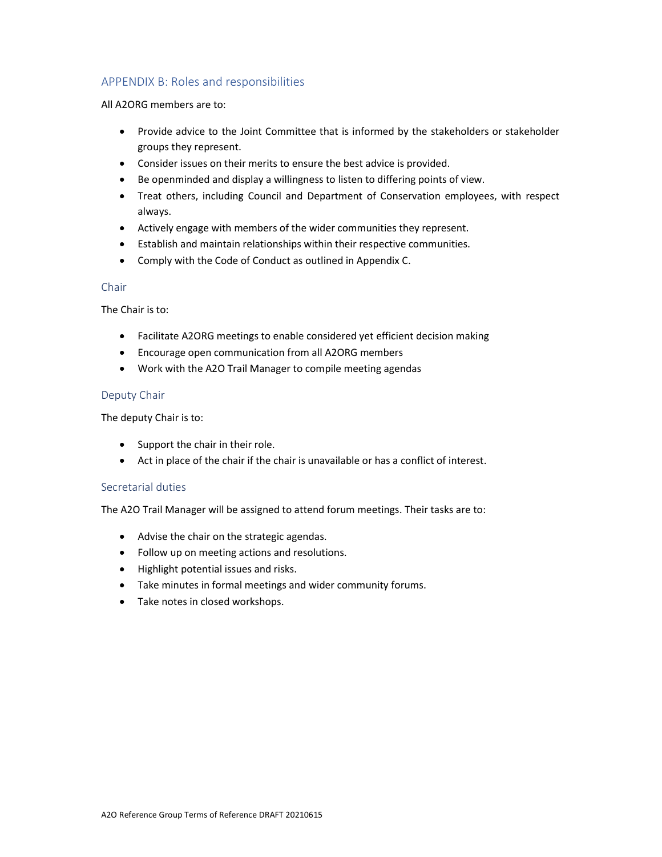# APPENDIX B: Roles and responsibilities

All A2ORG members are to:

- Provide advice to the Joint Committee that is informed by the stakeholders or stakeholder groups they represent.
- Consider issues on their merits to ensure the best advice is provided.
- Be openminded and display a willingness to listen to differing points of view.
- Treat others, including Council and Department of Conservation employees, with respect always.
- Actively engage with members of the wider communities they represent.
- Establish and maintain relationships within their respective communities.
- Comply with the Code of Conduct as outlined in Appendix C.

## Chair

The Chair is to:

- Facilitate A2ORG meetings to enable considered yet efficient decision making
- Encourage open communication from all A2ORG members
- Work with the A2O Trail Manager to compile meeting agendas

### Deputy Chair

The deputy Chair is to:

- Support the chair in their role.
- Act in place of the chair if the chair is unavailable or has a conflict of interest.

### Secretarial duties

The A2O Trail Manager will be assigned to attend forum meetings. Their tasks are to:

- Advise the chair on the strategic agendas.
- Follow up on meeting actions and resolutions.
- Highlight potential issues and risks.
- Take minutes in formal meetings and wider community forums.
- Take notes in closed workshops.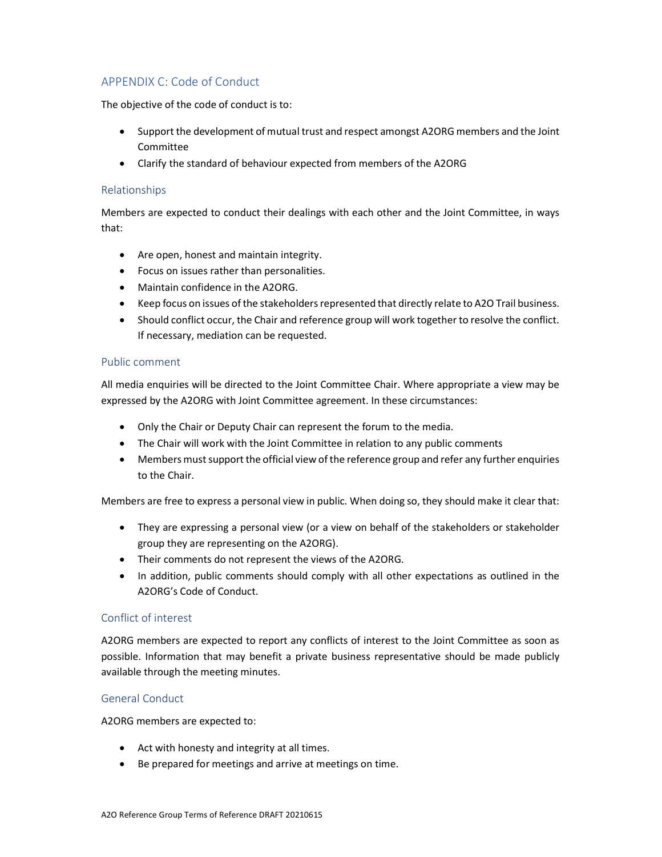# APPENDIX C: Code of Conduct

The objective of the code of conduct is to:

- Support the development of mutual trust and respect amongst A2ORG members and the Joint Committee
- Clarify the standard of behaviour expected from members of the A2ORG

## Relationships

Members are expected to conduct their dealings with each other and the Joint Committee, in ways that:

- Are open, honest and maintain integrity.
- Focus on issues rather than personalities.
- Maintain confidence in the A2ORG.
- Keep focus on issues of the stakeholders represented that directly relate to A2O Trail business.
- Should conflict occur, the Chair and reference group will work together to resolve the conflict. If necessary, mediation can be requested.

### Public comment

All media enquiries will be directed to the Joint Committee Chair. Where appropriate a view may be expressed by the A2ORG with Joint Committee agreement. In these circumstances:

- Only the Chair or Deputy Chair can represent the forum to the media.
- The Chair will work with the Joint Committee in relation to any public comments
- Members must support the official view of the reference group and refer any further enquiries to the Chair.

Members are free to express a personal view in public. When doing so, they should make it clear that:

- They are expressing a personal view (or a view on behalf of the stakeholders or stakeholder group they are representing on the A2ORG).
- Their comments do not represent the views of the A2ORG.
- In addition, public comments should comply with all other expectations as outlined in the A2ORG's Code of Conduct.

### Conflict of interest

A2ORG members are expected to report any conflicts of interest to the Joint Committee as soon as possible. Information that may benefit a private business representative should be made publicly available through the meeting minutes.

### General Conduct

A2ORG members are expected to:

- Act with honesty and integrity at all times.
- Be prepared for meetings and arrive at meetings on time.